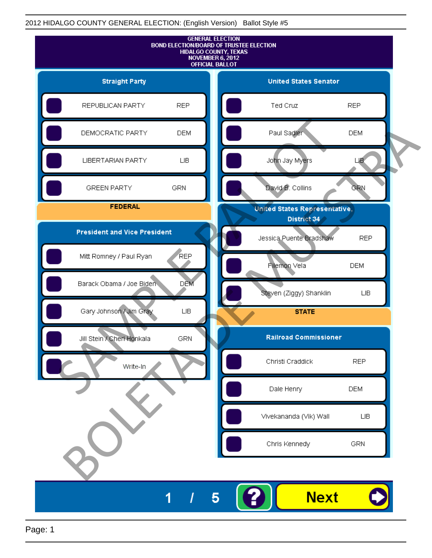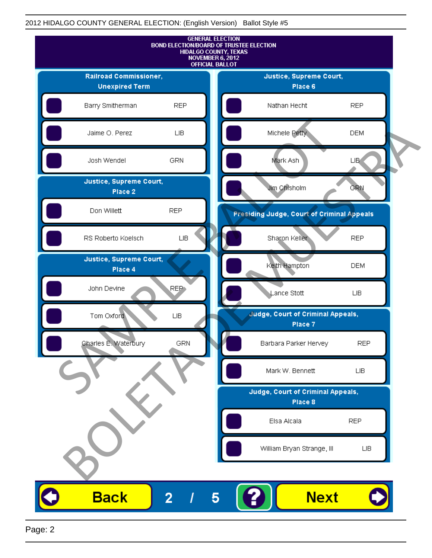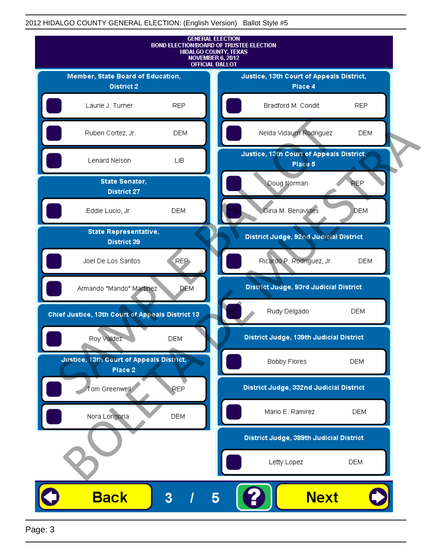

Page: 3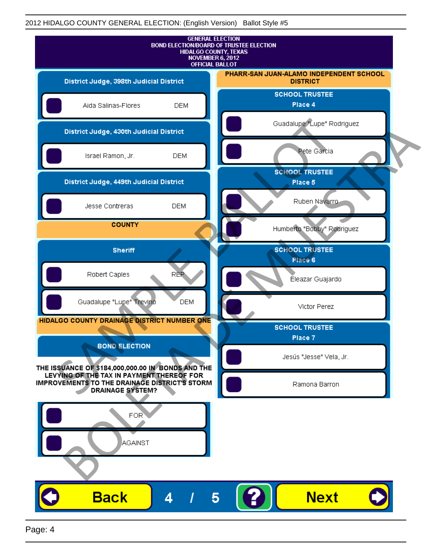

Page: 4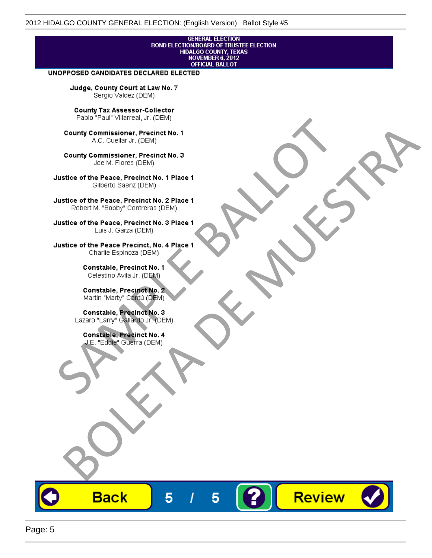# **GENERAL ELECTION** BOND ELECTION/BOARD OF TRUSTEE ELECTION<br>HIDALGO COUNTY, TEXAS<br>NOVEMBER 6, 2012<br>OFFICIAL BALLOT

Review

#### UNOPPOSED CANDIDATES DECLARED ELECTED

Judge, County Court at Law No. 7 Sergio Valdez (DEM)

County Tax Assessor-Collector

Fall Paul Visitera, Precinct No. 1<br>
County Commissioner, Precinct No. 1<br>
SAC. Cutellar JF: (DEM)<br>
County Commissioner, Precinct No. 2<br>
Ulattice of the Peace, Precinct No. 2 Place 1<br>
Counter M. "Bobby" Contrers (DEM)<br>
Ulatt County Commissioner, Precinct No. 1<br>
Accounts: A County Commissioner, Precinct No. 3<br>
Use of the Peace, Precinct No. 1<br>
Siste of the Peace, Precinct No. 1<br>
There is a control of the County Commission (DEM)<br>
There is a cont

**Back** 

5

5

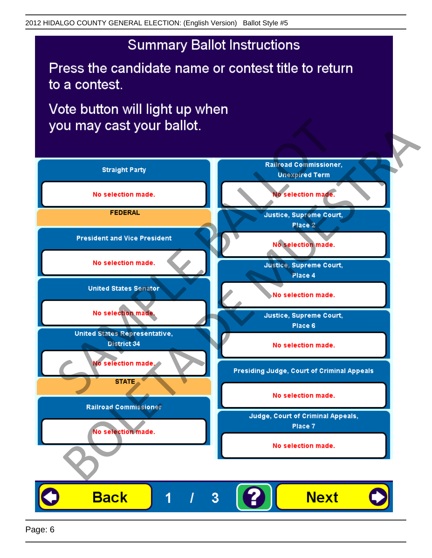## **Summary Ballot Instructions**

Press the candidate name or contest title to return to a contest.

Vote button will light up when

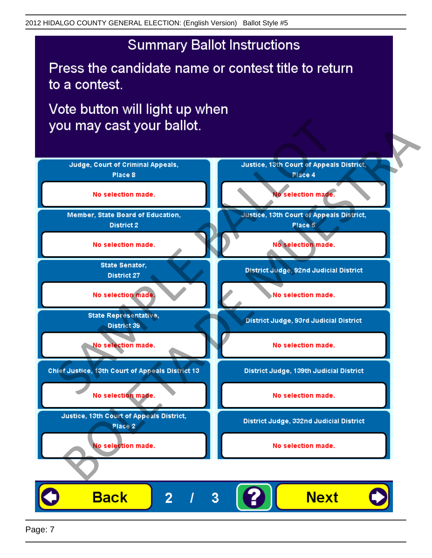## **Summary Ballot Instructions**

Press the candidate name or contest title to return to a contest.

Vote button will light up when



Page: 7